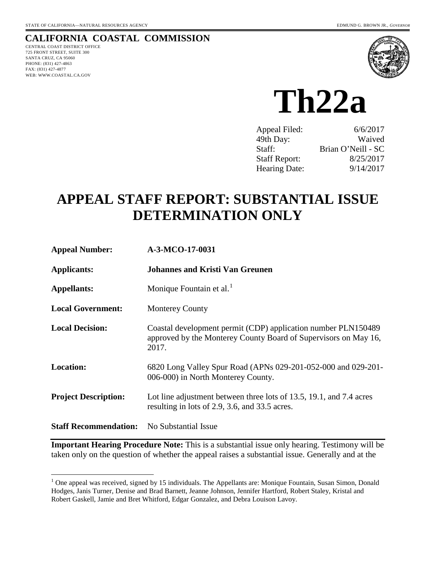### **CALIFORNIA COASTAL COMMISSION**

CENTRAL COAST DISTRICT OFFICE 725 FRONT STREET, SUITE 300 SANTA CRUZ, CA 95060 PHONE: (831) 427-4863 FAX: (831) 427-4877 WEB: WWW.COASTAL.CA.GOV

 $\overline{a}$ 



**Th22a** 

| Appeal Filed:        | 6/6/2017           |
|----------------------|--------------------|
| 49th Day:            | Waived             |
| Staff:               | Brian O'Neill - SC |
| <b>Staff Report:</b> | 8/25/2017          |
| <b>Hearing Date:</b> | 9/14/2017          |

# **APPEAL STAFF REPORT: SUBSTANTIAL ISSUE DETERMINATION ONLY**

| <b>Appeal Number:</b>        | A-3-MCO-17-0031                                                                                                                           |
|------------------------------|-------------------------------------------------------------------------------------------------------------------------------------------|
| <b>Applicants:</b>           | <b>Johannes and Kristi Van Greunen</b>                                                                                                    |
| <b>Appellants:</b>           | Monique Fountain et al. <sup>1</sup>                                                                                                      |
| <b>Local Government:</b>     | <b>Monterey County</b>                                                                                                                    |
| <b>Local Decision:</b>       | Coastal development permit (CDP) application number PLN150489<br>approved by the Monterey County Board of Supervisors on May 16,<br>2017. |
| <b>Location:</b>             | 6820 Long Valley Spur Road (APNs 029-201-052-000 and 029-201-<br>006-000) in North Monterey County.                                       |
| <b>Project Description:</b>  | Lot line adjustment between three lots of 13.5, 19.1, and 7.4 acres<br>resulting in lots of 2.9, 3.6, and 33.5 acres.                     |
| <b>Staff Recommendation:</b> | No Substantial Issue                                                                                                                      |

**Important Hearing Procedure Note:** This is a substantial issue only hearing. Testimony will be taken only on the question of whether the appeal raises a substantial issue. Generally and at the

<span id="page-0-0"></span> $1$  One appeal was received, signed by 15 individuals. The Appellants are: Monique Fountain, Susan Simon, Donald Hodges, Janis Turner, Denise and Brad Barnett, Jeanne Johnson, Jennifer Hartford, Robert Staley, Kristal and Robert Gaskell, Jamie and Bret Whitford, Edgar Gonzalez, and Debra Louison Lavoy.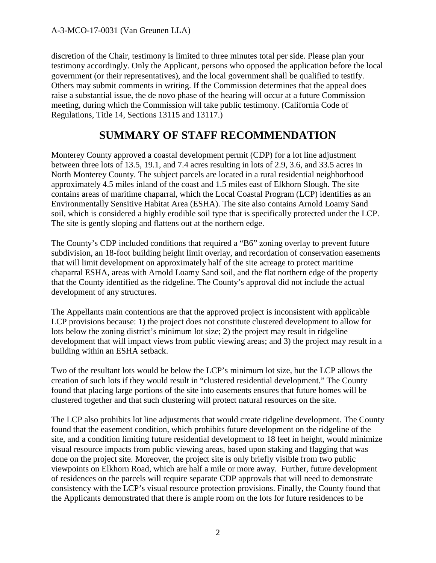discretion of the Chair, testimony is limited to three minutes total per side. Please plan your testimony accordingly. Only the Applicant, persons who opposed the application before the local government (or their representatives), and the local government shall be qualified to testify. Others may submit comments in writing. If the Commission determines that the appeal does raise a substantial issue, the de novo phase of the hearing will occur at a future Commission meeting, during which the Commission will take public testimony. (California Code of Regulations, Title 14, Sections 13115 and 13117.)

### **SUMMARY OF STAFF RECOMMENDATION**

Monterey County approved a coastal development permit (CDP) for a lot line adjustment between three lots of 13.5, 19.1, and 7.4 acres resulting in lots of 2.9, 3.6, and 33.5 acres in North Monterey County. The subject parcels are located in a rural residential neighborhood approximately 4.5 miles inland of the coast and 1.5 miles east of Elkhorn Slough. The site contains areas of maritime chaparral, which the Local Coastal Program (LCP) identifies as an Environmentally Sensitive Habitat Area (ESHA). The site also contains Arnold Loamy Sand soil, which is considered a highly erodible soil type that is specifically protected under the LCP. The site is gently sloping and flattens out at the northern edge.

The County's CDP included conditions that required a "B6" zoning overlay to prevent future subdivision, an 18-foot building height limit overlay, and recordation of conservation easements that will limit development on approximately half of the site acreage to protect maritime chaparral ESHA, areas with Arnold Loamy Sand soil, and the flat northern edge of the property that the County identified as the ridgeline. The County's approval did not include the actual development of any structures.

The Appellants main contentions are that the approved project is inconsistent with applicable LCP provisions because: 1) the project does not constitute clustered development to allow for lots below the zoning district's minimum lot size; 2) the project may result in ridgeline development that will impact views from public viewing areas; and 3) the project may result in a building within an ESHA setback.

Two of the resultant lots would be below the LCP's minimum lot size, but the LCP allows the creation of such lots if they would result in "clustered residential development." The County found that placing large portions of the site into easements ensures that future homes will be clustered together and that such clustering will protect natural resources on the site.

The LCP also prohibits lot line adjustments that would create ridgeline development. The County found that the easement condition, which prohibits future development on the ridgeline of the site, and a condition limiting future residential development to 18 feet in height, would minimize visual resource impacts from public viewing areas, based upon staking and flagging that was done on the project site. Moreover, the project site is only briefly visible from two public viewpoints on Elkhorn Road, which are half a mile or more away. Further, future development of residences on the parcels will require separate CDP approvals that will need to demonstrate consistency with the LCP's visual resource protection provisions. Finally, the County found that the Applicants demonstrated that there is ample room on the lots for future residences to be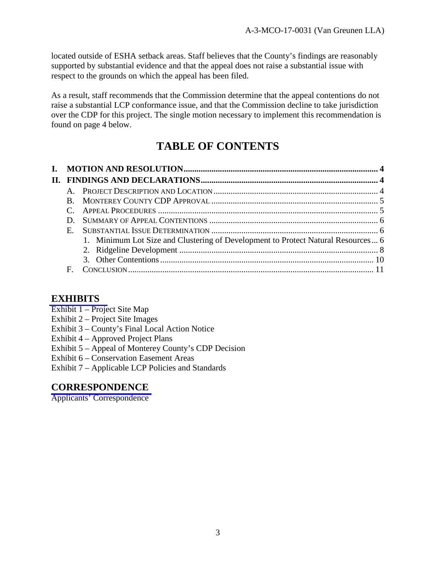located outside of ESHA setback areas. Staff believes that the County's findings are reasonably supported by substantial evidence and that the appeal does not raise a substantial issue with respect to the grounds on which the appeal has been filed.

As a result, staff recommends that the Commission determine that the appeal contentions do not raise a substantial LCP conformance issue, and that the Commission decline to take jurisdiction over the CDP for this project. The single motion necessary to implement this recommendation is found on page 4 below.

## **TABLE OF CONTENTS**

| L. |              |                                                                                  |  |
|----|--------------|----------------------------------------------------------------------------------|--|
|    |              |                                                                                  |  |
|    |              |                                                                                  |  |
|    | $\mathbf{B}$ |                                                                                  |  |
|    |              |                                                                                  |  |
|    |              |                                                                                  |  |
|    |              |                                                                                  |  |
|    |              | 1. Minimum Lot Size and Clustering of Development to Protect Natural Resources 6 |  |
|    |              |                                                                                  |  |
|    |              |                                                                                  |  |
|    | F            |                                                                                  |  |

### **[EXHIBITS](https://documents.coastal.ca.gov/reports/2017/9/Th22a/Th22a-9-2017-exhibits.pdf)**

- Exhibit 1 Project Site Map
- Exhibit 2 Project Site Images
- Exhibit 3 County's Final Local Action Notice
- Exhibit 4 Approved Project Plans
- Exhibit 5 Appeal of Monterey County's CDP Decision
- Exhibit 6 Conservation Easement Areas
- Exhibit 7 Applicable LCP Policies and Standards

### **[CORRESPONDENCE](https://documents.coastal.ca.gov/reports/2017/9/Th22a/Th22a-9-2017-corresp.pdf)**

Applicants' Correspondence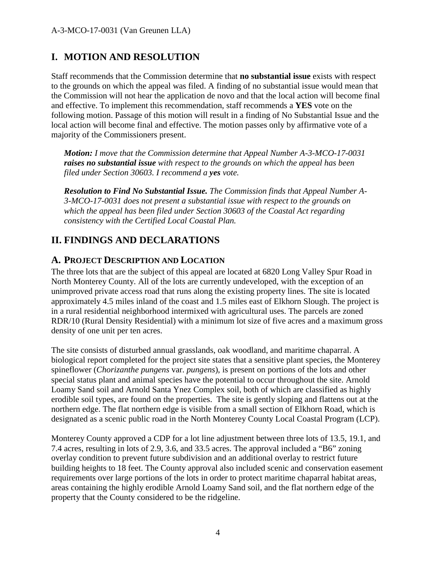### **I. MOTION AND RESOLUTION**

Staff recommends that the Commission determine that **no substantial issue** exists with respect to the grounds on which the appeal was filed. A finding of no substantial issue would mean that the Commission will not hear the application de novo and that the local action will become final and effective. To implement this recommendation, staff recommends a **YES** vote on the following motion. Passage of this motion will result in a finding of No Substantial Issue and the local action will become final and effective. The motion passes only by affirmative vote of a majority of the Commissioners present.

*Motion: I move that the Commission determine that Appeal Number A-3-MCO-17-0031 raises no substantial issue with respect to the grounds on which the appeal has been filed under Section 30603. I recommend a yes vote.*

*Resolution to Find No Substantial Issue. The Commission finds that Appeal Number A-3-MCO-17-0031 does not present a substantial issue with respect to the grounds on which the appeal has been filed under Section 30603 of the Coastal Act regarding consistency with the Certified Local Coastal Plan.* 

### **II. FINDINGS AND DECLARATIONS**

#### **A. PROJECT DESCRIPTION AND LOCATION**

The three lots that are the subject of this appeal are located at 6820 Long Valley Spur Road in North Monterey County. All of the lots are currently undeveloped, with the exception of an unimproved private access road that runs along the existing property lines. The site is located approximately 4.5 miles inland of the coast and 1.5 miles east of Elkhorn Slough. The project is in a rural residential neighborhood intermixed with agricultural uses. The parcels are zoned RDR/10 (Rural Density Residential) with a minimum lot size of five acres and a maximum gross density of one unit per ten acres.

The site consists of disturbed annual grasslands, oak woodland, and maritime chaparral. A biological report completed for the project site states that a sensitive plant species, the Monterey spineflower (*Chorizanthe pungens* var. *pungens*), is present on portions of the lots and other special status plant and animal species have the potential to occur throughout the site. Arnold Loamy Sand soil and Arnold Santa Ynez Complex soil, both of which are classified as highly erodible soil types, are found on the properties. The site is gently sloping and flattens out at the northern edge. The flat northern edge is visible from a small section of Elkhorn Road, which is designated as a scenic public road in the North Monterey County Local Coastal Program (LCP).

Monterey County approved a CDP for a lot line adjustment between three lots of 13.5, 19.1, and 7.4 acres, resulting in lots of 2.9, 3.6, and 33.5 acres. The approval included a "B6" zoning overlay condition to prevent future subdivision and an additional overlay to restrict future building heights to 18 feet. The County approval also included scenic and conservation easement requirements over large portions of the lots in order to protect maritime chaparral habitat areas, areas containing the highly erodible Arnold Loamy Sand soil, and the flat northern edge of the property that the County considered to be the ridgeline.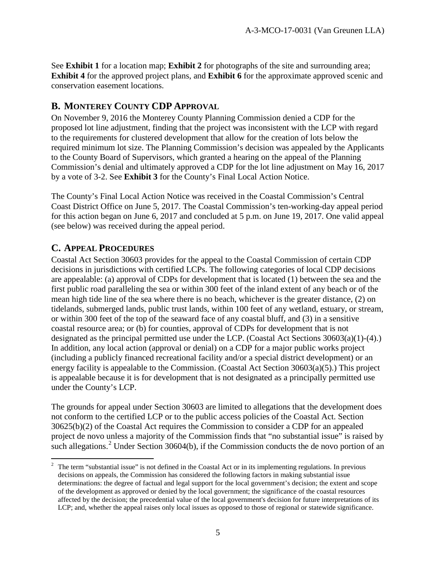See **Exhibit 1** for a location map; **Exhibit 2** for photographs of the site and surrounding area; **Exhibit 4** for the approved project plans, and **Exhibit 6** for the approximate approved scenic and conservation easement locations.

#### **B. MONTEREY COUNTY CDP APPROVAL**

On November 9, 2016 the Monterey County Planning Commission denied a CDP for the proposed lot line adjustment, finding that the project was inconsistent with the LCP with regard to the requirements for clustered development that allow for the creation of lots below the required minimum lot size. The Planning Commission's decision was appealed by the Applicants to the County Board of Supervisors, which granted a hearing on the appeal of the Planning Commission's denial and ultimately approved a CDP for the lot line adjustment on May 16, 2017 by a vote of 3-2. See **Exhibit 3** for the County's Final Local Action Notice.

The County's Final Local Action Notice was received in the Coastal Commission's Central Coast District Office on June 5, 2017. The Coastal Commission's ten-working-day appeal period for this action began on June 6, 2017 and concluded at 5 p.m. on June 19, 2017. One valid appeal (see below) was received during the appeal period.

#### **C. APPEAL PROCEDURES**

Coastal Act Section 30603 provides for the appeal to the Coastal Commission of certain CDP decisions in jurisdictions with certified LCPs. The following categories of local CDP decisions are appealable: (a) approval of CDPs for development that is located (1) between the sea and the first public road paralleling the sea or within 300 feet of the inland extent of any beach or of the mean high tide line of the sea where there is no beach, whichever is the greater distance, (2) on tidelands, submerged lands, public trust lands, within 100 feet of any wetland, estuary, or stream, or within 300 feet of the top of the seaward face of any coastal bluff, and (3) in a sensitive coastal resource area; or (b) for counties, approval of CDPs for development that is not designated as the principal permitted use under the LCP. (Coastal Act Sections 30603(a)(1)-(4).) In addition, any local action (approval or denial) on a CDP for a major public works project (including a publicly financed recreational facility and/or a special district development) or an energy facility is appealable to the Commission. (Coastal Act Section 30603(a)(5).) This project is appealable because it is for development that is not designated as a principally permitted use under the County's LCP.

The grounds for appeal under Section 30603 are limited to allegations that the development does not conform to the certified LCP or to the public access policies of the Coastal Act. Section 30625(b)(2) of the Coastal Act requires the Commission to consider a CDP for an appealed project de novo unless a majority of the Commission finds that "no substantial issue" is raised by such allegations.<sup>[2](#page-4-0)</sup> Under Section 30604(b), if the Commission conducts the de novo portion of an

<span id="page-4-0"></span> $\frac{1}{2}$  The term "substantial issue" is not defined in the Coastal Act or in its implementing regulations. In previous decisions on appeals, the Commission has considered the following factors in making substantial issue determinations: the degree of factual and legal support for the local government's decision; the extent and scope of the development as approved or denied by the local government; the significance of the coastal resources affected by the decision; the precedential value of the local government's decision for future interpretations of its LCP; and, whether the appeal raises only local issues as opposed to those of regional or statewide significance.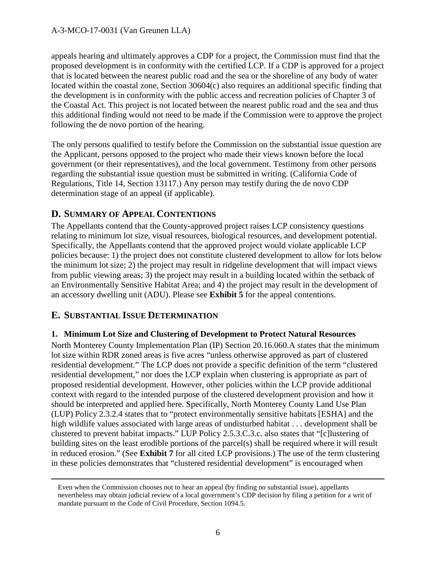appeals hearing and ultimately approves a CDP for a project, the Commission must find that the proposed development is in conformity with the certified LCP. If a CDP is approved for a project that is located between the nearest public road and the sea or the shoreline of any body of water located within the coastal zone, Section 30604(c) also requires an additional specific finding that the development is in conformity with the public access and recreation policies of Chapter 3 of the Coastal Act. This project is not located between the nearest public road and the sea and thus this additional finding would not need to be made if the Commission were to approve the project following the de novo portion of the hearing.

The only persons qualified to testify before the Commission on the substantial issue question are the Applicant, persons opposed to the project who made their views known before the local government (or their representatives), and the local government. Testimony from other persons regarding the substantial issue question must be submitted in writing. (California Code of Regulations, Title 14, Section 13117.) Any person may testify during the de novo CDP determination stage of an appeal (if applicable).

### **D. SUMMARY OF APPEAL CONTENTIONS**

The Appellants contend that the County-approved project raises LCP consistency questions relating to minimum lot size, visual resources, biological resources, and development potential. Specifically, the Appellants contend that the approved project would violate applicable LCP policies because: 1) the project does not constitute clustered development to allow for lots below the minimum lot size; 2) the project may result in ridgeline development that will impact views from public viewing areas; 3) the project may result in a building located within the setback of an Environmentally Sensitive Habitat Area; and 4) the project may result in the development of an accessory dwelling unit (ADU). Please see **Exhibit 5** for the appeal contentions.

#### **E. SUBSTANTIAL ISSUE DETERMINATION**

#### **1. Minimum Lot Size and Clustering of Development to Protect Natural Resources**

North Monterey County Implementation Plan (IP) Section 20.16.060.A states that the minimum lot size within RDR zoned areas is five acres "unless otherwise approved as part of clustered residential development." The LCP does not provide a specific definition of the term "clustered residential development," nor does the LCP explain when clustering is appropriate as part of proposed residential development. However, other policies within the LCP provide additional context with regard to the intended purpose of the clustered development provision and how it should be interpreted and applied here. Specifically, North Monterey County Land Use Plan (LUP) Policy 2.3.2.4 states that to "protect environmentally sensitive habitats [ESHA] and the high wildlife values associated with large areas of undisturbed habitat . . . development shall be clustered to prevent habitat impacts." LUP Policy 2.5.3.C.3.c. also states that "[c]lustering of building sites on the least erodible portions of the parcel(s) shall be required where it will result in reduced erosion." (See **Exhibit 7** for all cited LCP provisions.) The use of the term clustering in these policies demonstrates that "clustered residential development" is encouraged when

Even when the Commission chooses not to hear an appeal (by finding no substantial issue), appellants nevertheless may obtain judicial review of a local government's CDP decision by filing a petition for a writ of mandate pursuant to the Code of Civil Procedure, Section 1094.5.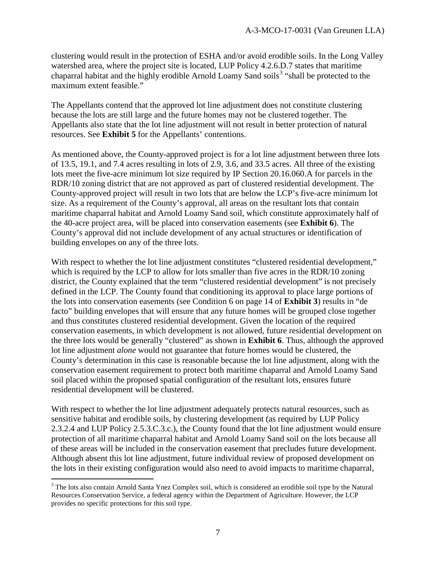clustering would result in the protection of ESHA and/or avoid erodible soils. In the Long Valley watershed area, where the project site is located, LUP Policy 4.2.6.D.7 states that maritime chaparral habitat and the highly erodible Arnold Loamy Sand soils<sup>[3](#page-6-0)</sup> "shall be protected to the maximum extent feasible."

The Appellants contend that the approved lot line adjustment does not constitute clustering because the lots are still large and the future homes may not be clustered together. The Appellants also state that the lot line adjustment will not result in better protection of natural resources. See **Exhibit 5** for the Appellants' contentions.

As mentioned above, the County-approved project is for a lot line adjustment between three lots of 13.5, 19.1, and 7.4 acres resulting in lots of 2.9, 3.6, and 33.5 acres. All three of the existing lots meet the five-acre minimum lot size required by IP Section 20.16.060.A for parcels in the RDR/10 zoning district that are not approved as part of clustered residential development. The County-approved project will result in two lots that are below the LCP's five-acre minimum lot size. As a requirement of the County's approval, all areas on the resultant lots that contain maritime chaparral habitat and Arnold Loamy Sand soil, which constitute approximately half of the 40-acre project area, will be placed into conservation easements (see **Exhibit 6**). The County's approval did not include development of any actual structures or identification of building envelopes on any of the three lots.

With respect to whether the lot line adjustment constitutes "clustered residential development," which is required by the LCP to allow for lots smaller than five acres in the RDR/10 zoning district, the County explained that the term "clustered residential development" is not precisely defined in the LCP. The County found that conditioning its approval to place large portions of the lots into conservation easements (see Condition 6 on page 14 of **Exhibit 3**) results in "de facto" building envelopes that will ensure that any future homes will be grouped close together and thus constitutes clustered residential development. Given the location of the required conservation easements, in which development is not allowed, future residential development on the three lots would be generally "clustered" as shown in **Exhibit 6**. Thus, although the approved lot line adjustment *alone* would not guarantee that future homes would be clustered, the County's determination in this case is reasonable because the lot line adjustment, along with the conservation easement requirement to protect both maritime chaparral and Arnold Loamy Sand soil placed within the proposed spatial configuration of the resultant lots, ensures future residential development will be clustered.

With respect to whether the lot line adjustment adequately protects natural resources, such as sensitive habitat and erodible soils, by clustering development (as required by LUP Policy 2.3.2.4 and LUP Policy 2.5.3.C.3.c.), the County found that the lot line adjustment would ensure protection of all maritime chaparral habitat and Arnold Loamy Sand soil on the lots because all of these areas will be included in the conservation easement that precludes future development. Although absent this lot line adjustment, future individual review of proposed development on the lots in their existing configuration would also need to avoid impacts to maritime chaparral,

<span id="page-6-0"></span> $\overline{a}$ <sup>3</sup> The lots also contain Arnold Santa Ynez Complex soil, which is considered an erodible soil type by the Natural Resources Conservation Service, a federal agency within the Department of Agriculture. However, the LCP provides no specific protections for this soil type.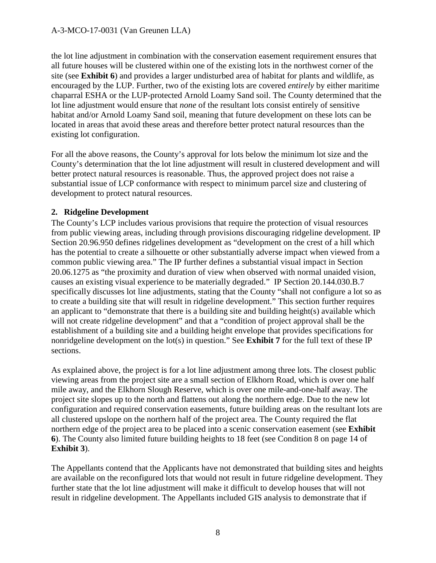the lot line adjustment in combination with the conservation easement requirement ensures that all future houses will be clustered within one of the existing lots in the northwest corner of the site (see **Exhibit 6**) and provides a larger undisturbed area of habitat for plants and wildlife, as encouraged by the LUP. Further, two of the existing lots are covered *entirely* by either maritime chaparral ESHA or the LUP-protected Arnold Loamy Sand soil. The County determined that the lot line adjustment would ensure that *none* of the resultant lots consist entirely of sensitive habitat and/or Arnold Loamy Sand soil, meaning that future development on these lots can be located in areas that avoid these areas and therefore better protect natural resources than the existing lot configuration.

For all the above reasons, the County's approval for lots below the minimum lot size and the County's determination that the lot line adjustment will result in clustered development and will better protect natural resources is reasonable. Thus, the approved project does not raise a substantial issue of LCP conformance with respect to minimum parcel size and clustering of development to protect natural resources.

#### **2. Ridgeline Development**

The County's LCP includes various provisions that require the protection of visual resources from public viewing areas, including through provisions discouraging ridgeline development. IP Section 20.96.950 defines ridgelines development as "development on the crest of a hill which has the potential to create a silhouette or other substantially adverse impact when viewed from a common public viewing area." The IP further defines a substantial visual impact in Section 20.06.1275 as "the proximity and duration of view when observed with normal unaided vision, causes an existing visual experience to be materially degraded." IP Section 20.144.030.B.7 specifically discusses lot line adjustments, stating that the County "shall not configure a lot so as to create a building site that will result in ridgeline development." This section further requires an applicant to "demonstrate that there is a building site and building height(s) available which will not create ridgeline development" and that a "condition of project approval shall be the establishment of a building site and a building height envelope that provides specifications for nonridgeline development on the lot(s) in question." See **Exhibit 7** for the full text of these IP sections.

As explained above, the project is for a lot line adjustment among three lots. The closest public viewing areas from the project site are a small section of Elkhorn Road, which is over one half mile away, and the Elkhorn Slough Reserve, which is over one mile-and-one-half away. The project site slopes up to the north and flattens out along the northern edge. Due to the new lot configuration and required conservation easements, future building areas on the resultant lots are all clustered upslope on the northern half of the project area. The County required the flat northern edge of the project area to be placed into a scenic conservation easement (see **Exhibit 6**). The County also limited future building heights to 18 feet (see Condition 8 on page 14 of **Exhibit 3**).

The Appellants contend that the Applicants have not demonstrated that building sites and heights are available on the reconfigured lots that would not result in future ridgeline development. They further state that the lot line adjustment will make it difficult to develop houses that will not result in ridgeline development. The Appellants included GIS analysis to demonstrate that if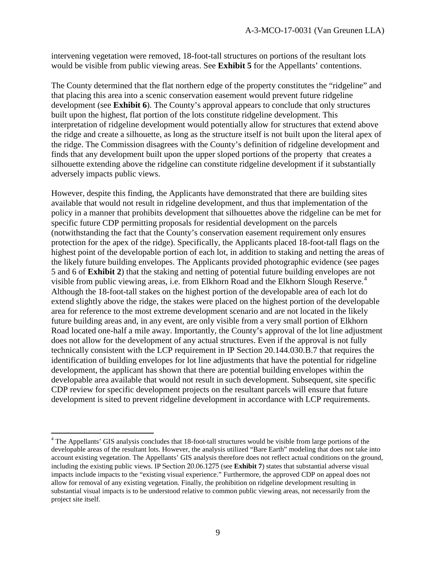intervening vegetation were removed, 18-foot-tall structures on portions of the resultant lots would be visible from public viewing areas. See **Exhibit 5** for the Appellants' contentions.

The County determined that the flat northern edge of the property constitutes the "ridgeline" and that placing this area into a scenic conservation easement would prevent future ridgeline development (see **Exhibit 6**). The County's approval appears to conclude that only structures built upon the highest, flat portion of the lots constitute ridgeline development. This interpretation of ridgeline development would potentially allow for structures that extend above the ridge and create a silhouette, as long as the structure itself is not built upon the literal apex of the ridge. The Commission disagrees with the County's definition of ridgeline development and finds that any development built upon the upper sloped portions of the property that creates a silhouette extending above the ridgeline can constitute ridgeline development if it substantially adversely impacts public views.

However, despite this finding, the Applicants have demonstrated that there are building sites available that would not result in ridgeline development, and thus that implementation of the policy in a manner that prohibits development that silhouettes above the ridgeline can be met for specific future CDP permitting proposals for residential development on the parcels (notwithstanding the fact that the County's conservation easement requirement only ensures protection for the apex of the ridge). Specifically, the Applicants placed 18-foot-tall flags on the highest point of the developable portion of each lot, in addition to staking and netting the areas of the likely future building envelopes. The Applicants provided photographic evidence (see pages 5 and 6 of **Exhibit 2**) that the staking and netting of potential future building envelopes are not visible from public viewing areas, i.e. from Elkhorn Road and the Elkhorn Slough Reserve.<sup>[4](#page-8-0)</sup> Although the 18-foot-tall stakes on the highest portion of the developable area of each lot do extend slightly above the ridge, the stakes were placed on the highest portion of the developable area for reference to the most extreme development scenario and are not located in the likely future building areas and, in any event, are only visible from a very small portion of Elkhorn Road located one-half a mile away. Importantly, the County's approval of the lot line adjustment does not allow for the development of any actual structures. Even if the approval is not fully technically consistent with the LCP requirement in IP Section 20.144.030.B.7 that requires the identification of building envelopes for lot line adjustments that have the potential for ridgeline development, the applicant has shown that there are potential building envelopes within the developable area available that would not result in such development. Subsequent, site specific CDP review for specific development projects on the resultant parcels will ensure that future development is sited to prevent ridgeline development in accordance with LCP requirements.

<span id="page-8-0"></span> $\overline{a}$ <sup>4</sup> The Appellants' GIS analysis concludes that 18-foot-tall structures would be visible from large portions of the developable areas of the resultant lots. However, the analysis utilized "Bare Earth" modeling that does not take into account existing vegetation. The Appellants' GIS analysis therefore does not reflect actual conditions on the ground, including the existing public views. IP Section 20.06.1275 (see **Exhibit 7**) states that substantial adverse visual impacts include impacts to the "existing visual experience." Furthermore, the approved CDP on appeal does not allow for removal of any existing vegetation. Finally, the prohibition on ridgeline development resulting in substantial visual impacts is to be understood relative to common public viewing areas, not necessarily from the project site itself.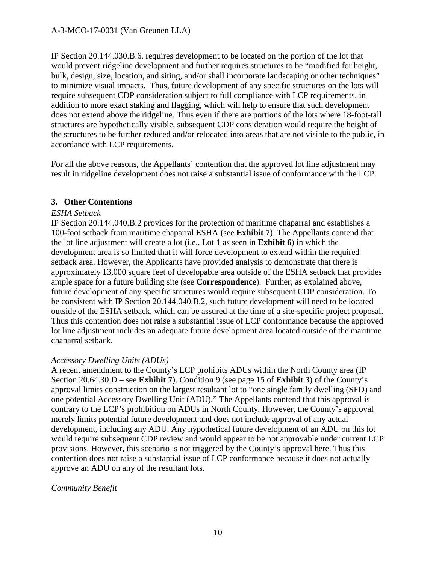IP Section 20.144.030.B.6. requires development to be located on the portion of the lot that would prevent ridgeline development and further requires structures to be "modified for height, bulk, design, size, location, and siting, and/or shall incorporate landscaping or other techniques" to minimize visual impacts. Thus, future development of any specific structures on the lots will require subsequent CDP consideration subject to full compliance with LCP requirements, in addition to more exact staking and flagging, which will help to ensure that such development does not extend above the ridgeline. Thus even if there are portions of the lots where 18-foot-tall structures are hypothetically visible, subsequent CDP consideration would require the height of the structures to be further reduced and/or relocated into areas that are not visible to the public, in accordance with LCP requirements.

For all the above reasons, the Appellants' contention that the approved lot line adjustment may result in ridgeline development does not raise a substantial issue of conformance with the LCP.

#### **3. Other Contentions**

#### *ESHA Setback*

IP Section 20.144.040.B.2 provides for the protection of maritime chaparral and establishes a 100-foot setback from maritime chaparral ESHA (see **Exhibit 7**). The Appellants contend that the lot line adjustment will create a lot (i.e., Lot 1 as seen in **Exhibit 6**) in which the development area is so limited that it will force development to extend within the required setback area. However, the Applicants have provided analysis to demonstrate that there is approximately 13,000 square feet of developable area outside of the ESHA setback that provides ample space for a future building site (see **Correspondence**). Further, as explained above, future development of any specific structures would require subsequent CDP consideration. To be consistent with IP Section 20.144.040.B.2, such future development will need to be located outside of the ESHA setback, which can be assured at the time of a site-specific project proposal. Thus this contention does not raise a substantial issue of LCP conformance because the approved lot line adjustment includes an adequate future development area located outside of the maritime chaparral setback.

#### *Accessory Dwelling Units (ADUs)*

A recent amendment to the County's LCP prohibits ADUs within the North County area (IP Section 20.64.30.D – see **Exhibit 7**). Condition 9 (see page 15 of **Exhibit 3**) of the County's approval limits construction on the largest resultant lot to "one single family dwelling (SFD) and one potential Accessory Dwelling Unit (ADU)." The Appellants contend that this approval is contrary to the LCP's prohibition on ADUs in North County. However, the County's approval merely limits potential future development and does not include approval of any actual development, including any ADU. Any hypothetical future development of an ADU on this lot would require subsequent CDP review and would appear to be not approvable under current LCP provisions. However, this scenario is not triggered by the County's approval here. Thus this contention does not raise a substantial issue of LCP conformance because it does not actually approve an ADU on any of the resultant lots.

#### *Community Benefit*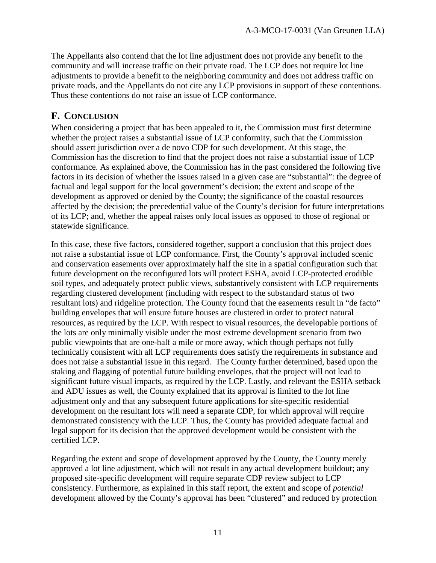The Appellants also contend that the lot line adjustment does not provide any benefit to the community and will increase traffic on their private road. The LCP does not require lot line adjustments to provide a benefit to the neighboring community and does not address traffic on private roads, and the Appellants do not cite any LCP provisions in support of these contentions. Thus these contentions do not raise an issue of LCP conformance.

### **F. CONCLUSION**

When considering a project that has been appealed to it, the Commission must first determine whether the project raises a substantial issue of LCP conformity, such that the Commission should assert jurisdiction over a de novo CDP for such development. At this stage, the Commission has the discretion to find that the project does not raise a substantial issue of LCP conformance. As explained above, the Commission has in the past considered the following five factors in its decision of whether the issues raised in a given case are "substantial": the degree of factual and legal support for the local government's decision; the extent and scope of the development as approved or denied by the County; the significance of the coastal resources affected by the decision; the precedential value of the County's decision for future interpretations of its LCP; and, whether the appeal raises only local issues as opposed to those of regional or statewide significance.

In this case, these five factors, considered together, support a conclusion that this project does not raise a substantial issue of LCP conformance. First, the County's approval included scenic and conservation easements over approximately half the site in a spatial configuration such that future development on the reconfigured lots will protect ESHA, avoid LCP-protected erodible soil types, and adequately protect public views, substantively consistent with LCP requirements regarding clustered development (including with respect to the substandard status of two resultant lots) and ridgeline protection. The County found that the easements result in "de facto" building envelopes that will ensure future houses are clustered in order to protect natural resources, as required by the LCP. With respect to visual resources, the developable portions of the lots are only minimally visible under the most extreme development scenario from two public viewpoints that are one-half a mile or more away, which though perhaps not fully technically consistent with all LCP requirements does satisfy the requirements in substance and does not raise a substantial issue in this regard. The County further determined, based upon the staking and flagging of potential future building envelopes, that the project will not lead to significant future visual impacts, as required by the LCP. Lastly, and relevant the ESHA setback and ADU issues as well, the County explained that its approval is limited to the lot line adjustment only and that any subsequent future applications for site-specific residential development on the resultant lots will need a separate CDP, for which approval will require demonstrated consistency with the LCP. Thus, the County has provided adequate factual and legal support for its decision that the approved development would be consistent with the certified LCP.

Regarding the extent and scope of development approved by the County, the County merely approved a lot line adjustment, which will not result in any actual development buildout; any proposed site-specific development will require separate CDP review subject to LCP consistency. Furthermore, as explained in this staff report, the extent and scope of *potential*  development allowed by the County's approval has been "clustered" and reduced by protection